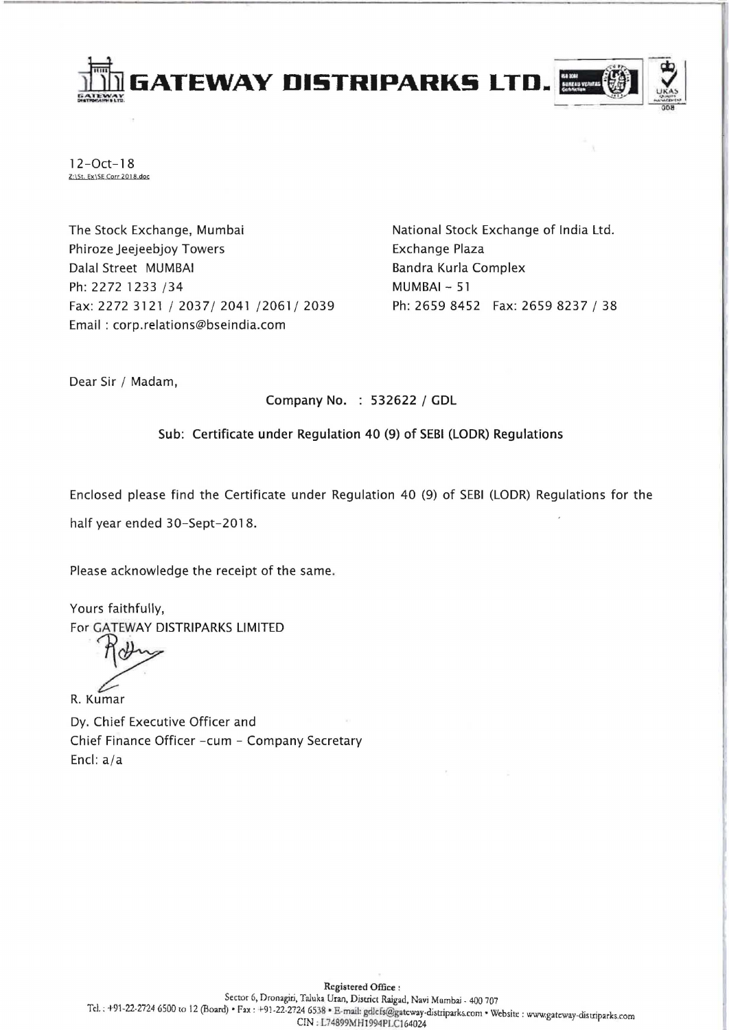



1 2-0ct-1 8 *Z:\St.* Ex\SE Corr 20J B.doc

The Stock Exchange, Mumbai Phiroze Jeejeebjoy Towers Dalal Street MUMBAI Ph: 2272 1233 /34 Fax: 2272 3121/2037/2041/2061/2039 Email: corp.relations@bseindia.com

National Stock Exchange of India Ltd. Exchange Plaza Bandra Kurla Complex MUMBAI - 51 Ph: 2659 8452 Fax: 2659 8237 / 38

Dear Sir / Madam,

Company No. : 532622 / GDL

Sub: Certificate under Regulation 40 (9) of SEBI (LODR) Regulations

Enclosed please find the Certificate under Regulation 40 (9) of SEBI (LODR) Regulations for the

half year ended 30-Sept-2018.

Please acknowledge the receipt of the same.

Yours faithfully, For GATEWAY DISTRIPARKS LIMITED

R. Kumar

Dy. Chief Executive Officer and Chief Finance Officer -cum - Company Secretary Encl: a/a